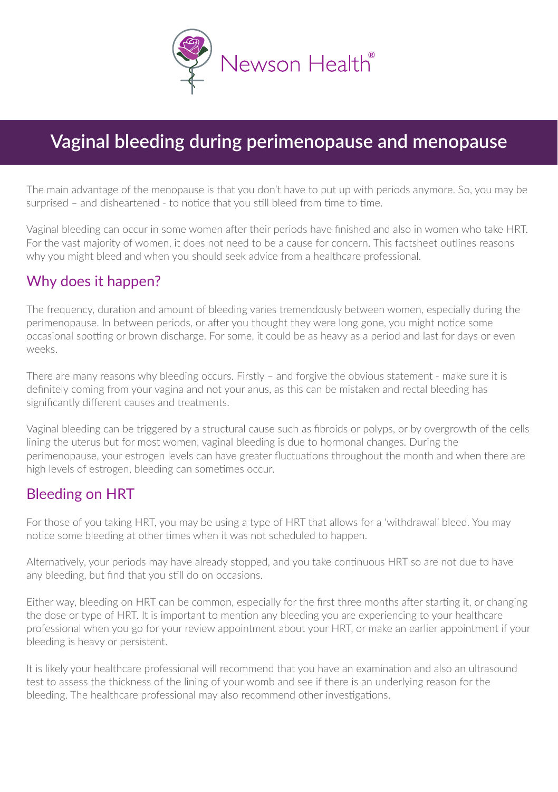

# **Vaginal bleeding during perimenopause and menopause**

The main advantage of the menopause is that you don't have to put up with periods anymore. So, you may be surprised – and disheartened - to notice that you still bleed from time to time.

Vaginal bleeding can occur in some women after their periods have finished and also in women who take HRT. For the vast majority of women, it does not need to be a cause for concern. This factsheet outlines reasons why you might bleed and when you should seek advice from a healthcare professional.

### Why does it happen?

The frequency, duration and amount of bleeding varies tremendously between women, especially during the perimenopause. In between periods, or after you thought they were long gone, you might notice some occasional spotting or brown discharge. For some, it could be as heavy as a period and last for days or even weeks.

There are many reasons why bleeding occurs. Firstly - and forgive the obvious statement - make sure it is definitely coming from your vagina and not your anus, as this can be mistaken and rectal bleeding has significantly different causes and treatments.

Vaginal bleeding can be triggered by a structural cause such as fibroids or polyps, or by overgrowth of the cells lining the uterus but for most women, vaginal bleeding is due to hormonal changes. During the perimenopause, your estrogen levels can have greater fluctuations throughout the month and when there are high levels of estrogen, bleeding can sometimes occur.

### Bleeding on HRT

For those of you taking HRT, you may be using a type of HRT that allows for a 'withdrawal' bleed. You may notice some bleeding at other times when it was not scheduled to happen.

Alternatively, your periods may have already stopped, and you take continuous HRT so are not due to have any bleeding, but find that you still do on occasions.

Either way, bleeding on HRT can be common, especially for the first three months after starting it, or changing the dose or type of HRT. It is important to mention any bleeding you are experiencing to your healthcare professional when you go for your review appointment about your HRT, or make an earlier appointment if your bleeding is heavy or persistent.

It is likely your healthcare professional will recommend that you have an examination and also an ultrasound test to assess the thickness of the lining of your womb and see if there is an underlying reason for the bleeding. The healthcare professional may also recommend other investigations.